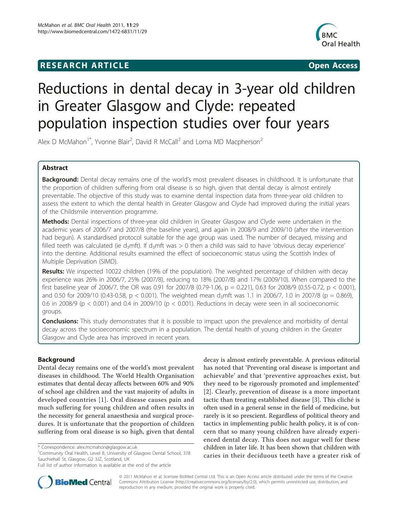## **RESEARCH ARTICLE Example 2018 12:00 Open Access**



# Reductions in dental decay in 3-year old children in Greater Glasgow and Clyde: repeated population inspection studies over four years

Alex D McMahon<sup>1\*</sup>, Yvonne Blair<sup>2</sup>, David R McCall<sup>2</sup> and Lorna MD Macpherson<sup>2</sup>

### Abstract

**Background:** Dental decay remains one of the world's most prevalent diseases in childhood. It is unfortunate that the proportion of children suffering from oral disease is so high, given that dental decay is almost entirely preventable. The objective of this study was to examine dental inspection data from three-year old children to assess the extent to which the dental health in Greater Glasgow and Clyde had improved during the initial years of the Childsmile intervention programme.

Methods: Dental inspections of three-year old children in Greater Glasgow and Clyde were undertaken in the academic years of 2006/7 and 2007/8 (the baseline years), and again in 2008/9 and 2009/10 (after the intervention had begun). A standardised protocol suitable for the age group was used. The number of decayed, missing and filled teeth was calculated (ie d<sub>3</sub>mft). If d<sub>3</sub>mft was > 0 then a child was said to have 'obvious decay experience' into the dentine. Additional results examined the effect of socioeconomic status using the Scottish Index of Multiple Deprivation (SIMD).

Results: We inspected 10022 children (19% of the population). The weighted percentage of children with decay experience was 26% in 2006/7, 25% (2007/8), reducing to 18% (2007/8) and 17% (2009/10). When compared to the first baseline year of 2006/7, the OR was 0.91 for 2007/8 (0.79-1.06,  $p = 0.221$ ), 0.63 for 2008/9 (0.55-0.72,  $p < 0.001$ ), and 0.50 for 2009/10 (0.43-0.58, p < 0.001). The weighted mean d<sub>3</sub>mft was 1.1 in 2006/7, 1.0 in 2007/8 (p = 0.869), 0.6 in 2008/9 (p < 0.001) and 0.4 in 2009/10 (p < 0.001). Reductions in decay were seen in all socioeconomic groups.

**Conclusions:** This study demonstrates that it is possible to impact upon the prevalence and morbidity of dental decay across the socioeconomic spectrum in a population. The dental health of young children in the Greater Glasgow and Clyde area has improved in recent years.

#### Background

Dental decay remains one of the world's most prevalent diseases in childhood. The World Health Organisation estimates that dental decay affects between 60% and 90% of school age children and the vast majority of adults in developed countries [[1](#page-5-0)]. Oral disease causes pain and much suffering for young children and often results in the necessity for general anaesthesia and surgical procedures. It is unfortunate that the proportion of children suffering from oral disease is so high, given that dental

<sup>1</sup>Community Oral Health, Level 8, University of Glasgow Dental School, 378 Sauchiehall St, Glasgow, G2 3JZ, Scotland, UK

decay is almost entirely preventable. A previous editorial has noted that 'Preventing oral disease is important and achievable' and that 'preventive approaches exist, but they need to be rigorously promoted and implemented' [[2](#page-5-0)]. Clearly, prevention of disease is a more important tactic than treating established disease [\[3](#page-5-0)]. This cliché is often used in a general sense in the field of medicine, but rarely is it so prescient. Regardless of political theory and tactics in implementing public health policy, it is of concern that so many young children have already experienced dental decay. This does not augur well for these children in later life. It has been shown that children with caries in their deciduous teeth have a greater risk of



© 2011 McMahon et al; licensee BioMed Central Ltd. This is an Open Access article distributed under the terms of the Creative Commons Attribution License [\(http://creativecommons.org/licenses/by/2.0](http://creativecommons.org/licenses/by/2.0)), which permits unrestricted use, distribution, and reproduction in any medium, provided the original work is properly cited.

<sup>\*</sup> Correspondence: [alex.mcmahon@glasgow.ac.uk](mailto:alex.mcmahon@glasgow.ac.uk)

Full list of author information is available at the end of the article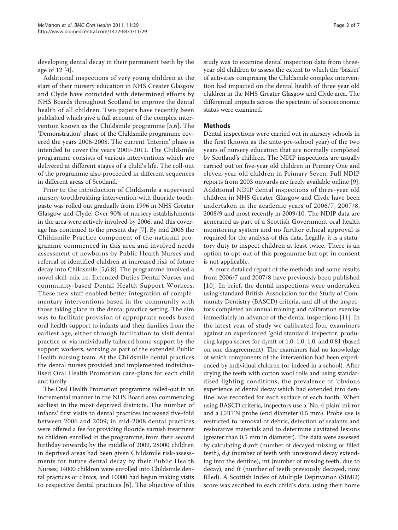developing dental decay in their permanent teeth by the age of 12 [\[4](#page-5-0)].

Additional inspections of very young children at the start of their nursery education in NHS Greater Glasgow and Clyde have coincided with determined efforts by NHS Boards throughout Scotland to improve the dental health of all children. Two papers have recently been published which give a full account of the complex intervention known as the Childsmile programme [[5,6](#page-5-0)]. The 'Demonstration' phase of the Childsmile programme covered the years 2006-2008. The current 'Interim' phase is intended to cover the years 2009-2011. The Childsmile programme consists of various interventions which are delivered at different stages of a child's life. The roll-out of the programme also proceeded in different sequences in different areas of Scotland.

Prior to the introduction of Childsmile a supervised nursery toothbrushing intervention with fluoride toothpaste was rolled out gradually from 1996 in NHS Greater Glasgow and Clyde. Over 90% of nursery establishments in the area were actively involved by 2006, and this coverage has continued to the present day [\[7](#page-5-0)]. By mid 2006 the Childsmile Practice component of the national programme commenced in this area and involved needs assessment of newborns by Public Health Nurses and referral of identified children at increased risk of future decay into Childsmile [[5,6,8\]](#page-5-0). The programme involved a novel skill-mix i.e. Extended Duties Dental Nurses and community-based Dental Health Support Workers. These new staff enabled better integration of complementary interventions based in the community with those taking place in the dental practice setting. The aim was to facilitate provision of appropriate needs-based oral health support to infants and their families from the earliest age, either through facilitation to visit dental practice or via individually tailored home-support by the support workers, working as part of the extended Public Health nursing team. At the Childsmile dental practices the dental nurses provided and implemented individualised Oral Health Promotion care-plans for each child and family.

The Oral Health Promotion programme rolled-out in an incremental manner in the NHS Board area commencing earliest in the most deprived districts. The number of infants' first visits to dental practices increased five-fold between 2006 and 2009; in mid-2008 dental practices were offered a fee for providing fluoride varnish treatment to children enrolled in the programme, from their second birthday onwards; by the middle of 2009, 28000 children in deprived areas had been given Childsmile risk-assessments for future dental decay by their Public Health Nurses; 14000 children were enrolled into Childsmile dental practices or clinics, and 10000 had begun making visits to respective dental practices [\[6](#page-5-0)]. The objective of this study was to examine dental inspection data from threeyear old children to assess the extent to which the 'basket' of activities comprising the Childsmile complex intervention had impacted on the dental health of three year old children in the NHS Greater Glasgow and Clyde area. The differential impacts across the spectrum of socioeconomic status were examined.

#### Methods

Dental inspections were carried out in nursery schools in the first (known as the ante-pre-school year) of the two years of nursery education that are normally completed by Scotland's children. The NDIP inspections are usually carried out on five-year old children in Primary One and eleven-year old children in Primary Seven. Full NDIP reports from 2003 onwards are freely available online [\[9](#page-5-0)]. Additional NDIP dental inspections of three-year old children in NHS Greater Glasgow and Clyde have been undertaken in the academic years of 2006/7, 2007/8, 2008/9 and most recently in 2009/10. The NDIP data are generated as part of a Scottish Government oral health monitoring system and no further ethical approval is required for the analysis of this data. Legally, it is a statutory duty to inspect children at least twice. There is an option to opt-out of this programme but opt-in consent is not applicable.

A more detailed report of the methods and some results from 2006/7 and 2007/8 have previously been published [[10\]](#page-6-0). In brief, the dental inspections were undertaken using standard British Association for the Study of Community Dentistry (BASCD) criteria, and all of the inspectors completed an annual training and calibration exercise immediately in advance of the dental inspections [[11\]](#page-6-0). In the latest year of study we calibrated four examiners against an experienced 'gold standard' inspector, producing kappa scores for  $d_3$ mft of 1.0, 1.0, 1.0, and 0.81 (based on one disagreement). The examiners had no knowledge of which components of the intervention had been experienced by individual children (or indeed in a school). After drying the teeth with cotton wool rolls and using standardised lighting conditions, the prevalence of 'obvious experience of dental decay which had extended into dentine' was recorded for each surface of each tooth. When using BASCD criteria, inspectors use a 'No. 4 plain' mirror and a CPITN probe (end diameter 0.5 mm). Probe use is restricted to removal of debris, detection of sealants and restorative materials and to determine cavitated lesions (greater than 0.5 mm in diameter). The data were assessed by calculating  $d_3$ mft (number of decayed missing or filled teeth),  $d_3t$  (number of teeth with unrestored decay extending into the dentine), mt (number of missing teeth, due to decay), and ft (number of teeth previously decayed, now filled). A Scottish Index of Multiple Deprivation (SIMD) score was ascribed to each child's data, using their home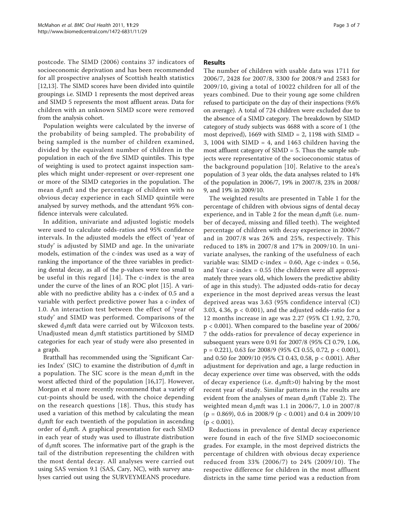postcode. The SIMD (2006) contains 37 indicators of socioeconomic deprivation and has been recommended for all prospective analyses of Scottish health statistics [[12,13\]](#page-6-0). The SIMD scores have been divided into quintile groupings i.e. SIMD 1 represents the most deprived areas and SIMD 5 represents the most affluent areas. Data for children with an unknown SIMD score were removed from the analysis cohort.

Population weights were calculated by the inverse of the probability of being sampled. The probability of being sampled is the number of children examined, divided by the equivalent number of children in the population in each of the five SIMD quintiles. This type of weighting is used to protect against inspection samples which might under-represent or over-represent one or more of the SIMD categories in the population. The mean  $d_3$ mft and the percentage of children with no obvious decay experience in each SIMD quintile were analysed by survey methods, and the attendant 95% confidence intervals were calculated.

In addition, univariate and adjusted logistic models were used to calculate odds-ratios and 95% confidence intervals. In the adjusted models the effect of 'year of study' is adjusted by SIMD and age. In the univariate models, estimation of the c-index was used as a way of ranking the importance of the three variables in predicting dental decay, as all of the p-values were too small to be useful in this regard [\[14\]](#page-6-0). The c-index is the area under the curve of the lines of an ROC plot [[15](#page-6-0)]. A variable with no predictive ability has a c-index of 0.5 and a variable with perfect predictive power has a c-index of 1.0. An interaction test between the effect of 'year of study' and SIMD was performed. Comparisons of the skewed  $d_3$ mft data were carried out by Wilcoxon tests. Unadjusted mean  $d_3$ mft statistics partitioned by SIMD categories for each year of study were also presented in a graph.

Bratthall has recommended using the 'Significant Caries Index' (SIC) to examine the distribution of  $d<sub>3</sub>$ mft in a population. The SIC score is the mean  $d<sub>3</sub>$ mft in the worst affected third of the population [[16,17\]](#page-6-0). However, Morgan et al more recently recommend that a variety of cut-points should be used, with the choice depending on the research questions [[18](#page-6-0)]. Thus, this study has used a variation of this method by calculating the mean  $d<sub>3</sub>$ mft for each twentieth of the population in ascending order of  $d_3$ mft. A graphical presentation for each SIMD in each year of study was used to illustrate distribution of  $d_3$ mft scores. The informative part of the graph is the tail of the distribution representing the children with the most dental decay. All analyses were carried out using SAS version 9.1 (SAS, Cary, NC), with survey analyses carried out using the SURVEYMEANS procedure.

#### Results

The number of children with usable data was 1711 for 2006/7, 2428 for 2007/8, 3300 for 2008/9 and 2583 for 2009/10, giving a total of 10022 children for all of the years combined. Due to their young age some children refused to participate on the day of their inspections (9.6% on average). A total of 724 children were excluded due to the absence of a SIMD category. The breakdown by SIMD category of study subjects was 4688 with a score of 1 (the most deprived), 1669 with SIMD = 2, 1198 with SIMD = 3, 1004 with SIMD = 4, and 1463 children having the most affluent category of SIMD = 5. Thus the sample subjects were representative of the socioeconomic status of the background population [[10](#page-6-0)]. Relative to the area's population of 3 year olds, the data analyses related to 14% of the population in 2006/7, 19% in 2007/8, 23% in 2008/ 9, and 19% in 2009/10.

The weighted results are presented in Table [1](#page-3-0) for the percentage of children with obvious signs of dental decay experience, and in Table [2](#page-3-0) for the mean  $d<sub>3</sub>$ mft (i.e. number of decayed, missing and filled teeth). The weighted percentage of children with decay experience in 2006/7 and in 2007/8 was 26% and 25%, respectively. This reduced to 18% in 2007/8 and 17% in 2009/10. In univariate analyses, the ranking of the usefulness of each variable was: SIMD c-index =  $0.60$ , Age c-index =  $0.56$ , and Year  $c$ -index = 0.55 (the children were all approximately three years old, which lowers the predictive ability of age in this study). The adjusted odds-ratio for decay experience in the most deprived areas versus the least deprived areas was 3.63 (95% confidence interval (CI) 3.03, 4.36,  $p < 0.001$ ), and the adjusted odds-ratio for a 12 months increase in age was 2.27 (95% CI 1.92, 2.70, p < 0.001). When compared to the baseline year of 2006/ 7 the odds-ratios for prevalence of decay experience in subsequent years were 0.91 for 2007/8 (95% CI 0.79, 1.06, p = 0.221), 0.63 for 2008/9 (95% CI 0.55, 0.72, p < 0.001), and 0.50 for 2009/10 (95% CI 0.43, 0.58, p < 0.001). After adjustment for deprivation and age, a large reduction in decay experience over time was observed, with the odds of decay experience (i.e.  $d_3$ mft>0) halving by the most recent year of study. Similar patterns in the results are evident from the analyses of mean  $d_3$ mft (Table [2\)](#page-3-0). The weighted mean d<sub>3</sub>mft was 1.1 in 2006/7, 1.0 in 2007/8  $(p = 0.869)$ , 0.6 in 2008/9  $(p < 0.001)$  and 0.4 in 2009/10  $(p < 0.001)$ .

Reductions in prevalence of dental decay experience were found in each of the five SIMD socioeconomic grades. For example, in the most deprived districts the percentage of children with obvious decay experience reduced from 33% (2006/7) to 24% (2009/10). The respective difference for children in the most affluent districts in the same time period was a reduction from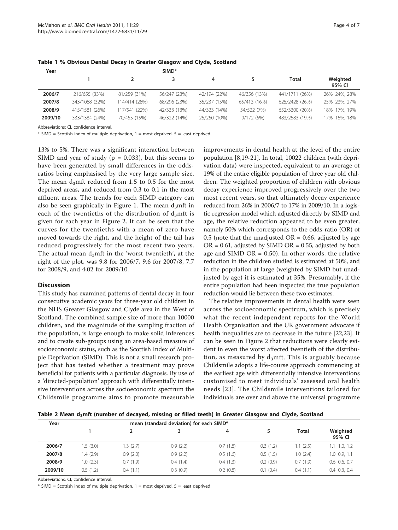| Year    |                |               | SIMD <sup>*</sup> |              |              |                |                    |
|---------|----------------|---------------|-------------------|--------------|--------------|----------------|--------------------|
|         |                |               |                   | 4            | 5.           | Total          | Weighted<br>95% CI |
| 2006/7  | 216/655 (33%)  | 81/259 (31%)  | 56/247 (23%)      | 42/194 (22%) | 46/356 (13%) | 441/1711 (26%) | 26%: 24%, 28%      |
| 2007/8  | 343/1068 (32%) | 114/414 (28%) | 68/296 (23%)      | 35/237 (15%) | 65/413 (16%) | 625/2428 (26%) | 25%: 23%, 27%      |
| 2008/9  | 415/1581 (26%) | 117/541 (22%) | 42/333 (13%)      | 44/323 (14%) | 34/522 (7%)  | 652/3300 (20%) | 18%: 17%, 19%      |
| 2009/10 | 333/1384 (24%) | 70/455 (15%)  | 46/322 (14%)      | 25/250 (10%) | 9/172(5%)    | 483/2583 (19%) | 17%: 15%, 18%      |

<span id="page-3-0"></span>Table 1 % Obvious Dental Decay in Greater Glasgow and Clyde, Scotland

Abbreviations: CI, confidence interval.

 $*$  SIMD = Scottish index of multiple deprivation, 1 = most deprived, 5 = least deprived.

13% to 5%. There was a significant interaction between SIMD and year of study ( $p = 0.033$ ), but this seems to have been generated by small differences in the oddsratios being emphasised by the very large sample size. The mean  $d_3$ mft reduced from 1.5 to 0.5 for the most deprived areas, and reduced from 0.3 to 0.1 in the most affluent areas. The trends for each SIMD category can also be seen graphically in Figure [1.](#page-4-0) The mean  $d_3$ mft in each of the twentieths of the distribution of  $d_3$ mft is given for each year in Figure [2](#page-4-0). It can be seen that the curves for the twentieths with a mean of zero have moved towards the right, and the height of the tail has reduced progressively for the most recent two years. The actual mean  $d_3$ mft in the 'worst twentieth', at the right of the plot, was 9.8 for 2006/7, 9.6 for 2007/8, 7.7 for 2008/9, and 4.02 for 2009/10.

#### **Discussion**

This study has examined patterns of dental decay in four consecutive academic years for three-year old children in the NHS Greater Glasgow and Clyde area in the West of Scotland. The combined sample size of more than 10000 children, and the magnitude of the sampling fraction of the population, is large enough to make solid inferences and to create sub-groups using an area-based measure of socioeconomic status, such as the Scottish Index of Multiple Deprivation (SIMD). This is not a small research project that has tested whether a treatment may prove beneficial for patients with a particular diagnosis. By use of a 'directed-population' approach with differentially intensive interventions across the socioeconomic spectrum the Childsmile programme aims to promote measurable

improvements in dental health at the level of the entire population [\[8](#page-5-0)[,19](#page-6-0)-[21](#page-6-0)]. In total, 10022 children (with deprivation data) were inspected, equivalent to an average of 19% of the entire eligible population of three year old children. The weighted proportion of children with obvious decay experience improved progressively over the two most recent years, so that ultimately decay experience reduced from 26% in 2006/7 to 17% in 2009/10. In a logistic regression model which adjusted directly by SIMD and age, the relative reduction appeared to be even greater, namely 50% which corresponds to the odds-ratio (OR) of 0.5 (note that the unadjusted  $OR = 0.66$ , adjusted by age  $OR = 0.61$ , adjusted by SIMD OR = 0.55, adjusted by both age and SIMD  $OR = 0.50$ . In other words, the relative reduction in the children studied is estimated at 50%, and in the population at large (weighted by SIMD but unadjusted by age) it is estimated at 35%. Presumably, if the entire population had been inspected the true population reduction would lie between these two estimates.

The relative improvements in dental health were seen across the socioeconomic spectrum, which is precisely what the recent independent reports for the World Health Organisation and the UK government advocate if health inequalities are to decrease in the future [\[22,23](#page-6-0)]. It can be seen in Figure [2](#page-4-0) that reductions were clearly evident in even the worst affected twentieth of the distribution, as measured by  $d_3$ mft. This is arguably because Childsmile adopts a life-course approach commencing at the earliest age with differentially intensive interventions customised to meet individuals' assessed oral health needs [\[23\]](#page-6-0). The Childsmile interventions tailored for individuals are over and above the universal programme

Table 2 Mean  $d_3$ mft (number of decayed, missing or filled teeth) in Greater Glasgow and Clyde, Scotland

| Year    | mean (standard deviation) for each SIMD* |          |          |          |          |          |                    |
|---------|------------------------------------------|----------|----------|----------|----------|----------|--------------------|
|         |                                          |          |          | 4        |          | Total    | Weighted<br>95% CI |
| 2006/7  | .5(3.0)                                  | 1.3(2.7) | 0.9(2.2) | 0.7(1.8) | 0.3(1.2) | 1.1(2.5) | 1.1: 1.0, 1.2      |
| 2007/8  | .4(2.9)                                  | 0.9(2.0) | 0.9(2.2) | 0.5(1.6) | 0.5(1.5) | 1.0(2.4) | 1.0: 0.9, 1.1      |
| 2008/9  | .0(2.3)                                  | 0.7(1.9) | 0.4(1.4) | 0.4(1.3) | 0.2(0.9) | 0.7(1.9) | 0.6: 0.6, 0.7      |
| 2009/10 | 0.5(1.2)                                 | 0.4(1.1) | 0.3(0.9) | 0.2(0.8) | 0.1(0.4) | 0.4(1.1) | 0.4: 0.3, 0.4      |

Abbreviations: CI, confidence interval.

 $*$  SIMD = Scottish index of multiple deprivation, 1 = most deprived, 5 = least deprived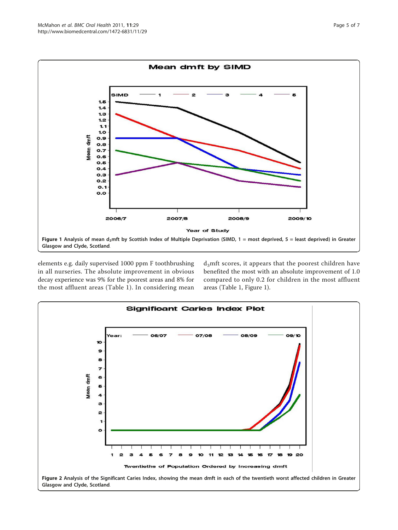<span id="page-4-0"></span>

elements e.g. daily supervised 1000 ppm F toothbrushing in all nurseries. The absolute improvement in obvious decay experience was 9% for the poorest areas and 8% for the most affluent areas (Table [1\)](#page-3-0). In considering mean d<sub>3</sub>mft scores, it appears that the poorest children have benefited the most with an absolute improvement of 1.0 compared to only 0.2 for children in the most affluent areas (Table [1,](#page-3-0) Figure 1).

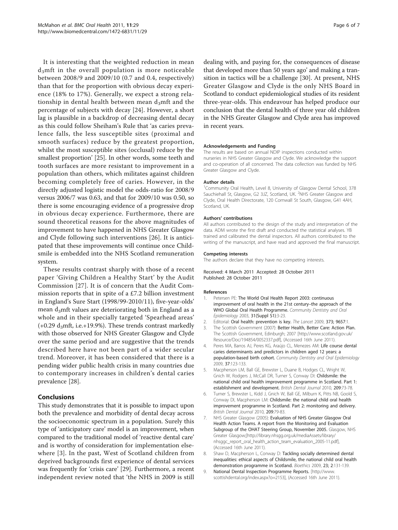<span id="page-5-0"></span>It is interesting that the weighted reduction in mean  $d_3$ mft in the overall population is more noticeable between 2008/9 and 2009/10 (0.7 and 0.4, respectively) than that for the proportion with obvious decay experience (18% to 17%). Generally, we expect a strong relationship in dental health between mean  $d_3$ mft and the percentage of subjects with decay [[24\]](#page-6-0). However, a short lag is plausible in a backdrop of decreasing dental decay as this could follow Sheiham's Rule that 'as caries prevalence falls, the less susceptible sites (proximal and smooth surfaces) reduce by the greatest proportion, whilst the most susceptible sites (occlusal) reduce by the smallest proportion' [[25](#page-6-0)]. In other words, some teeth and tooth surfaces are more resistant to improvement in a population than others, which militates against children becoming completely free of caries. However, in the directly adjusted logistic model the odds-ratio for 2008/9 versus 2006/7 was 0.63, and that for 2009/10 was 0.50, so there is some encouraging evidence of a progressive drop in obvious decay experience. Furthermore, there are sound theoretical reasons for the above magnitudes of improvement to have happened in NHS Greater Glasgow and Clyde following such interventions [\[26](#page-6-0)]. It is anticipated that these improvements will continue once Childsmile is embedded into the NHS Scotland remuneration system.

These results contrast sharply with those of a recent paper 'Giving Children a Healthy Start' by the Audit Commission [\[27](#page-6-0)]. It is of concern that the Audit Commission reports that in spite of a £7.2 billion investment in England's Sure Start (1998/99-2010/11), five-year-olds' mean  $d_3$ mft values are deteriorating both in England as a whole and in their specially targeted 'Spearhead areas'  $(+0.29 \text{ d}_3$ mft, i.e.+19.9%). These trends contrast markedly with those observed for NHS Greater Glasgow and Clyde over the same period and are suggestive that the trends described here have not been part of a wider secular trend. Moreover, it has been considered that there is a pending wider public health crisis in many countries due to contemporary increases in children's dental caries prevalence [[28](#page-6-0)].

#### Conclusions

This study demonstrates that it is possible to impact upon both the prevalence and morbidity of dental decay across the socioeconomic spectrum in a population. Surely this type of 'anticipatory care' model is an improvement, when compared to the traditional model of 'reactive dental care' and is worthy of consideration for implementation elsewhere [3]. In the past, West of Scotland children from deprived backgrounds first experience of dental services was frequently for 'crisis care' [\[29](#page-6-0)]. Furthermore, a recent independent review noted that 'the NHS in 2009 is still

dealing with, and paying for, the consequences of disease that developed more than 50 years ago' and making a transition in tactics will be a challenge [[30\]](#page-6-0). At present, NHS Greater Glasgow and Clyde is the only NHS Board in Scotland to conduct epidemiological studies of its resident three-year-olds. This endeavour has helped produce our conclusion that the dental health of three year old children in the NHS Greater Glasgow and Clyde area has improved in recent years.

#### Acknowledgements and Funding

The results are based on annual NDIP inspections conducted within nurseries in NHS Greater Glasgow and Clyde. We acknowledge the support and co-operation of all concerned. The data collection was funded by NHS Greater Glasgow and Clyde.

#### Author details

<sup>1</sup> Community Oral Health, Level 8, University of Glasgow Dental School, 378 Sauchiehall St, Glasgow, G2 3JZ, Scotland, UK. <sup>2</sup>NHS Greater Glasgow and Clyde, Oral Health Directorate, 120 Cornwall St South, Glasgow, G41 4AH, Scotland, UK.

#### Authors' contributions

All authors contributed to the design of the study and interpretation of the data. ADM wrote the first draft and conducted the statistical analyses. YB trained and calibrated the dental inspectors. All authors contributed to the writing of the manuscript, and have read and approved the final manuscript.

#### Competing interests

The authors declare that they have no competing interests.

Received: 4 March 2011 Accepted: 28 October 2011 Published: 28 October 2011

#### References

- 1. Petersen PE: [The World Oral Health Report 2003: continuous](http://www.ncbi.nlm.nih.gov/pubmed/15015736?dopt=Abstract) [improvement of oral health in the 21st century](http://www.ncbi.nlm.nih.gov/pubmed/15015736?dopt=Abstract)–the approach of the [WHO Global Oral Health Programme.](http://www.ncbi.nlm.nih.gov/pubmed/15015736?dopt=Abstract) Community Dentistry and Oral Epidemiology 2003, 31(Suppl S1):3-23.
- 2. Editorial: Oral health: prevention is key. The Lancet 2009, 373; 9657:1.
- 3. The Scottish Government (2007): Better Health, Better Care: Action Plan. The Scottish Government, Edinburgh; 2007 [\[http://www.scotland.gov.uk/](http://www.scotland.gov.uk/Resource/Doc/194854/0052337.pdf) [Resource/Doc/194854/0052337.pdf\]](http://www.scotland.gov.uk/Resource/Doc/194854/0052337.pdf), (Accessed 16th June 2011).
- 4. Peres MA, Barros AJ, Peres KG, Araújo CL, Menezes AM: [Life course dental](http://www.ncbi.nlm.nih.gov/pubmed/19250294?dopt=Abstract) [caries determinants and predictors in children aged 12 years: a](http://www.ncbi.nlm.nih.gov/pubmed/19250294?dopt=Abstract) [population-based birth cohort.](http://www.ncbi.nlm.nih.gov/pubmed/19250294?dopt=Abstract) Community Dentistry and Oral Epidemiology 2009, 37:123-133.
- 5. Macpherson LM, Ball GE, Brewster L, Duane B, Hodges CL, Wright W, Gnich W, Rodgers J, McCall DR, Turner S, Conway DI: [Childsmile: the](http://www.ncbi.nlm.nih.gov/pubmed/20651768?dopt=Abstract) [national child oral health improvement programme in Scotland. Part 1:](http://www.ncbi.nlm.nih.gov/pubmed/20651768?dopt=Abstract) [establishment and development.](http://www.ncbi.nlm.nih.gov/pubmed/20651768?dopt=Abstract) British Dental Journal 2010, 209:73-78.
- Turner S, Brewster L, Kidd J, Gnich W, Ball GE, Milburn K, Pitts NB, Goold S, Conway DI, Macpherson LM: [Childsmile: the national child oral health](http://www.ncbi.nlm.nih.gov/pubmed/20651769?dopt=Abstract) [improvement programme in Scotland. Part 2: monitoring and delivery.](http://www.ncbi.nlm.nih.gov/pubmed/20651769?dopt=Abstract) British Dental Journal 2010, 209:79-83.
- 7. NHS Greater Glasgow (2005): Evaluation of NHS Greater Glasgow Oral Health Action Teams. A report from the Monitoring and Evaluation Subgroup of the OHAT Steering Group, November 2005. Glasgow, NHS Greater Glasgow;[[http://library.nhsgg.org.uk/mediaAssets/library/](http://library.nhsgg.org.uk/mediaAssets/library/nhsggc_report_oral_health_action_team_evaluation_2005-11.pdf) [nhsggc\\_report\\_oral\\_health\\_action\\_team\\_evaluation\\_2005-11.pdf](http://library.nhsgg.org.uk/mediaAssets/library/nhsggc_report_oral_health_action_team_evaluation_2005-11.pdf)], (Accessed 16th June 2011).
- Shaw D, Macpherson L, Conway D: [Tackling socially determined dental](http://www.ncbi.nlm.nih.gov/pubmed/21988143?dopt=Abstract) [inequalities: ethical aspects of Childsmile, the national child oral health](http://www.ncbi.nlm.nih.gov/pubmed/21988143?dopt=Abstract) [demonstration programme in Scotland.](http://www.ncbi.nlm.nih.gov/pubmed/21988143?dopt=Abstract) Bioethics 2009, 23; 2:131-139.
- 9. National Dental Inspection Programme Reports. [\[http://www.](http://www.scottishdental.org/index.aspx?o=2153) [scottishdental.org/index.aspx?o=2153\]](http://www.scottishdental.org/index.aspx?o=2153), (Accessed 16th June 2011).